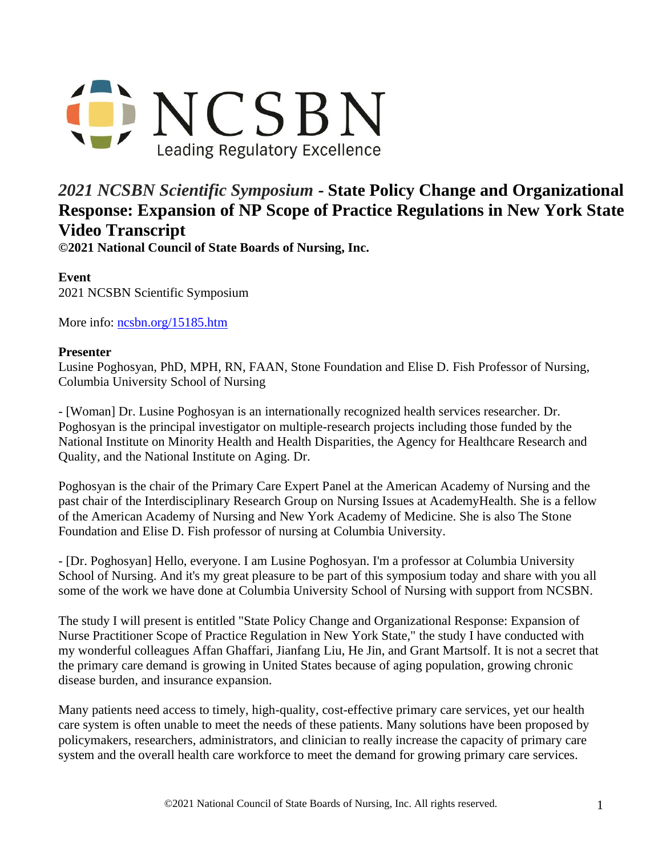

## *2021 NCSBN Scientific Symposium* **- State Policy Change and Organizational Response: Expansion of NP Scope of Practice Regulations in New York State Video Transcript**

**©2021 National Council of State Boards of Nursing, Inc.** 

**Event** 2021 NCSBN Scientific Symposium

More info: [ncsbn.org/15185.htm](https://www.ncsbn.org/15185.htm)

## **Presenter**

Lusine Poghosyan, PhD, MPH, RN, FAAN, Stone Foundation and Elise D. Fish Professor of Nursing, Columbia University School of Nursing

- [Woman] Dr. Lusine Poghosyan is an internationally recognized health services researcher. Dr. Poghosyan is the principal investigator on multiple-research projects including those funded by the National Institute on Minority Health and Health Disparities, the Agency for Healthcare Research and Quality, and the National Institute on Aging. Dr.

Poghosyan is the chair of the Primary Care Expert Panel at the American Academy of Nursing and the past chair of the Interdisciplinary Research Group on Nursing Issues at AcademyHealth. She is a fellow of the American Academy of Nursing and New York Academy of Medicine. She is also The Stone Foundation and Elise D. Fish professor of nursing at Columbia University.

- [Dr. Poghosyan] Hello, everyone. I am Lusine Poghosyan. I'm a professor at Columbia University School of Nursing. And it's my great pleasure to be part of this symposium today and share with you all some of the work we have done at Columbia University School of Nursing with support from NCSBN.

The study I will present is entitled "State Policy Change and Organizational Response: Expansion of Nurse Practitioner Scope of Practice Regulation in New York State," the study I have conducted with my wonderful colleagues Affan Ghaffari, Jianfang Liu, He Jin, and Grant Martsolf. It is not a secret that the primary care demand is growing in United States because of aging population, growing chronic disease burden, and insurance expansion.

Many patients need access to timely, high-quality, cost-effective primary care services, yet our health care system is often unable to meet the needs of these patients. Many solutions have been proposed by policymakers, researchers, administrators, and clinician to really increase the capacity of primary care system and the overall health care workforce to meet the demand for growing primary care services.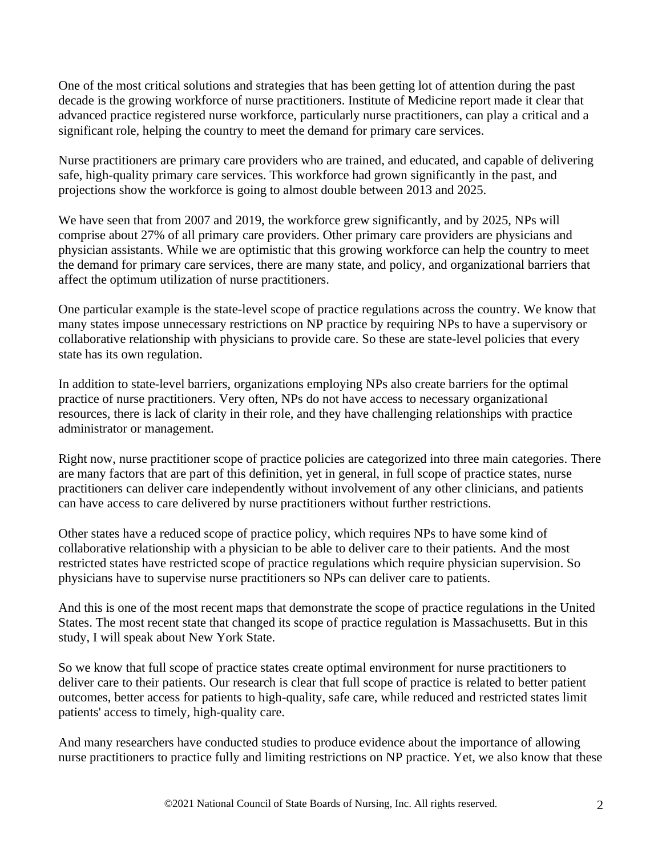One of the most critical solutions and strategies that has been getting lot of attention during the past decade is the growing workforce of nurse practitioners. Institute of Medicine report made it clear that advanced practice registered nurse workforce, particularly nurse practitioners, can play a critical and a significant role, helping the country to meet the demand for primary care services.

Nurse practitioners are primary care providers who are trained, and educated, and capable of delivering safe, high-quality primary care services. This workforce had grown significantly in the past, and projections show the workforce is going to almost double between 2013 and 2025.

We have seen that from 2007 and 2019, the workforce grew significantly, and by 2025, NPs will comprise about 27% of all primary care providers. Other primary care providers are physicians and physician assistants. While we are optimistic that this growing workforce can help the country to meet the demand for primary care services, there are many state, and policy, and organizational barriers that affect the optimum utilization of nurse practitioners.

One particular example is the state-level scope of practice regulations across the country. We know that many states impose unnecessary restrictions on NP practice by requiring NPs to have a supervisory or collaborative relationship with physicians to provide care. So these are state-level policies that every state has its own regulation.

In addition to state-level barriers, organizations employing NPs also create barriers for the optimal practice of nurse practitioners. Very often, NPs do not have access to necessary organizational resources, there is lack of clarity in their role, and they have challenging relationships with practice administrator or management.

Right now, nurse practitioner scope of practice policies are categorized into three main categories. There are many factors that are part of this definition, yet in general, in full scope of practice states, nurse practitioners can deliver care independently without involvement of any other clinicians, and patients can have access to care delivered by nurse practitioners without further restrictions.

Other states have a reduced scope of practice policy, which requires NPs to have some kind of collaborative relationship with a physician to be able to deliver care to their patients. And the most restricted states have restricted scope of practice regulations which require physician supervision. So physicians have to supervise nurse practitioners so NPs can deliver care to patients.

And this is one of the most recent maps that demonstrate the scope of practice regulations in the United States. The most recent state that changed its scope of practice regulation is Massachusetts. But in this study, I will speak about New York State.

So we know that full scope of practice states create optimal environment for nurse practitioners to deliver care to their patients. Our research is clear that full scope of practice is related to better patient outcomes, better access for patients to high-quality, safe care, while reduced and restricted states limit patients' access to timely, high-quality care.

And many researchers have conducted studies to produce evidence about the importance of allowing nurse practitioners to practice fully and limiting restrictions on NP practice. Yet, we also know that these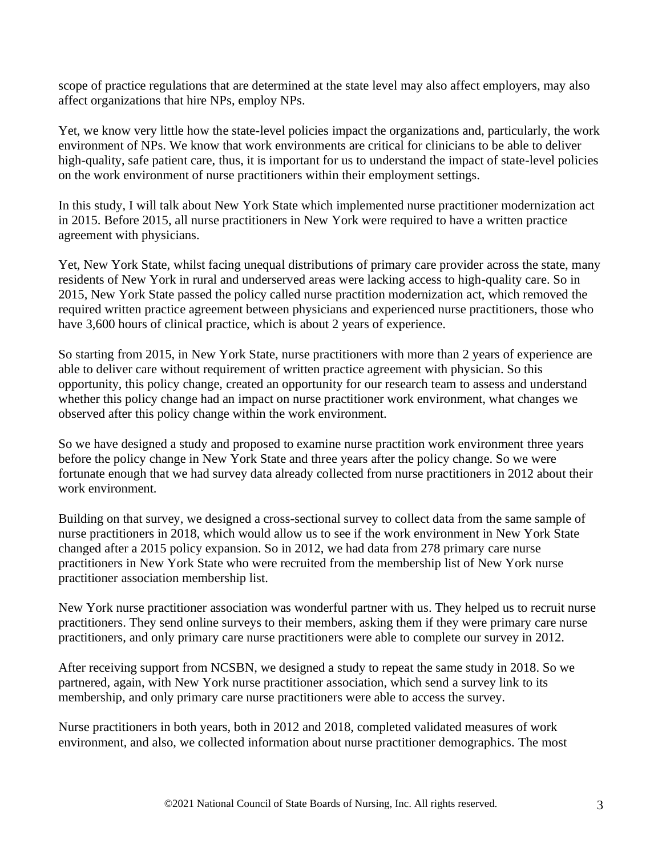scope of practice regulations that are determined at the state level may also affect employers, may also affect organizations that hire NPs, employ NPs.

Yet, we know very little how the state-level policies impact the organizations and, particularly, the work environment of NPs. We know that work environments are critical for clinicians to be able to deliver high-quality, safe patient care, thus, it is important for us to understand the impact of state-level policies on the work environment of nurse practitioners within their employment settings.

In this study, I will talk about New York State which implemented nurse practitioner modernization act in 2015. Before 2015, all nurse practitioners in New York were required to have a written practice agreement with physicians.

Yet, New York State, whilst facing unequal distributions of primary care provider across the state, many residents of New York in rural and underserved areas were lacking access to high-quality care. So in 2015, New York State passed the policy called nurse practition modernization act, which removed the required written practice agreement between physicians and experienced nurse practitioners, those who have 3,600 hours of clinical practice, which is about 2 years of experience.

So starting from 2015, in New York State, nurse practitioners with more than 2 years of experience are able to deliver care without requirement of written practice agreement with physician. So this opportunity, this policy change, created an opportunity for our research team to assess and understand whether this policy change had an impact on nurse practitioner work environment, what changes we observed after this policy change within the work environment.

So we have designed a study and proposed to examine nurse practition work environment three years before the policy change in New York State and three years after the policy change. So we were fortunate enough that we had survey data already collected from nurse practitioners in 2012 about their work environment.

Building on that survey, we designed a cross-sectional survey to collect data from the same sample of nurse practitioners in 2018, which would allow us to see if the work environment in New York State changed after a 2015 policy expansion. So in 2012, we had data from 278 primary care nurse practitioners in New York State who were recruited from the membership list of New York nurse practitioner association membership list.

New York nurse practitioner association was wonderful partner with us. They helped us to recruit nurse practitioners. They send online surveys to their members, asking them if they were primary care nurse practitioners, and only primary care nurse practitioners were able to complete our survey in 2012.

After receiving support from NCSBN, we designed a study to repeat the same study in 2018. So we partnered, again, with New York nurse practitioner association, which send a survey link to its membership, and only primary care nurse practitioners were able to access the survey.

Nurse practitioners in both years, both in 2012 and 2018, completed validated measures of work environment, and also, we collected information about nurse practitioner demographics. The most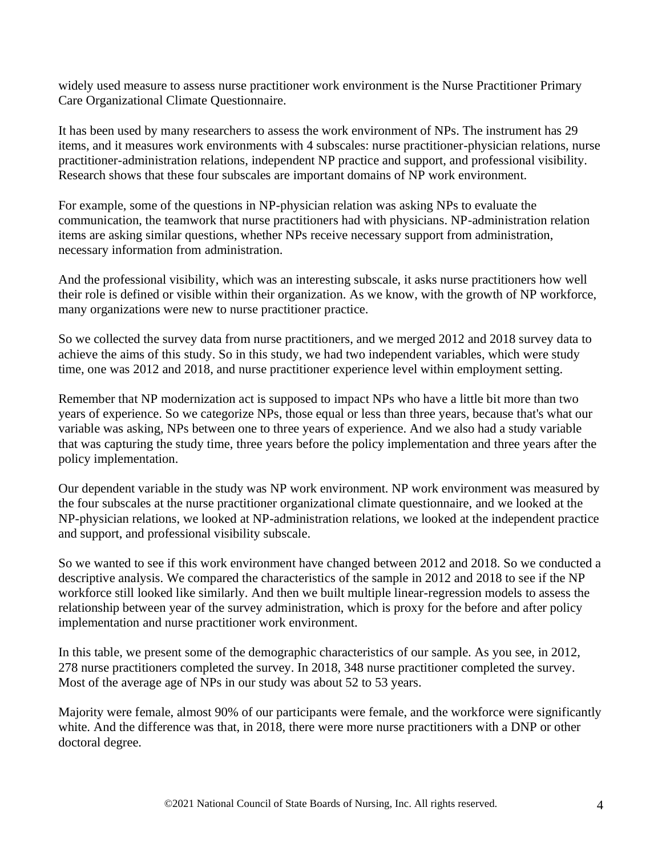widely used measure to assess nurse practitioner work environment is the Nurse Practitioner Primary Care Organizational Climate Questionnaire.

It has been used by many researchers to assess the work environment of NPs. The instrument has 29 items, and it measures work environments with 4 subscales: nurse practitioner-physician relations, nurse practitioner-administration relations, independent NP practice and support, and professional visibility. Research shows that these four subscales are important domains of NP work environment.

For example, some of the questions in NP-physician relation was asking NPs to evaluate the communication, the teamwork that nurse practitioners had with physicians. NP-administration relation items are asking similar questions, whether NPs receive necessary support from administration, necessary information from administration.

And the professional visibility, which was an interesting subscale, it asks nurse practitioners how well their role is defined or visible within their organization. As we know, with the growth of NP workforce, many organizations were new to nurse practitioner practice.

So we collected the survey data from nurse practitioners, and we merged 2012 and 2018 survey data to achieve the aims of this study. So in this study, we had two independent variables, which were study time, one was 2012 and 2018, and nurse practitioner experience level within employment setting.

Remember that NP modernization act is supposed to impact NPs who have a little bit more than two years of experience. So we categorize NPs, those equal or less than three years, because that's what our variable was asking, NPs between one to three years of experience. And we also had a study variable that was capturing the study time, three years before the policy implementation and three years after the policy implementation.

Our dependent variable in the study was NP work environment. NP work environment was measured by the four subscales at the nurse practitioner organizational climate questionnaire, and we looked at the NP-physician relations, we looked at NP-administration relations, we looked at the independent practice and support, and professional visibility subscale.

So we wanted to see if this work environment have changed between 2012 and 2018. So we conducted a descriptive analysis. We compared the characteristics of the sample in 2012 and 2018 to see if the NP workforce still looked like similarly. And then we built multiple linear-regression models to assess the relationship between year of the survey administration, which is proxy for the before and after policy implementation and nurse practitioner work environment.

In this table, we present some of the demographic characteristics of our sample. As you see, in 2012, 278 nurse practitioners completed the survey. In 2018, 348 nurse practitioner completed the survey. Most of the average age of NPs in our study was about 52 to 53 years.

Majority were female, almost 90% of our participants were female, and the workforce were significantly white. And the difference was that, in 2018, there were more nurse practitioners with a DNP or other doctoral degree.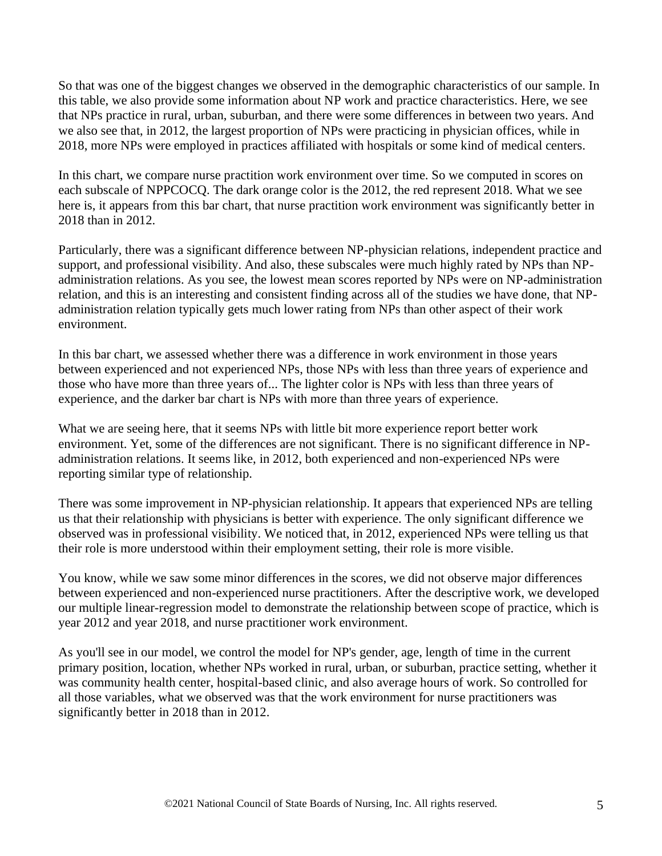So that was one of the biggest changes we observed in the demographic characteristics of our sample. In this table, we also provide some information about NP work and practice characteristics. Here, we see that NPs practice in rural, urban, suburban, and there were some differences in between two years. And we also see that, in 2012, the largest proportion of NPs were practicing in physician offices, while in 2018, more NPs were employed in practices affiliated with hospitals or some kind of medical centers.

In this chart, we compare nurse practition work environment over time. So we computed in scores on each subscale of NPPCOCQ. The dark orange color is the 2012, the red represent 2018. What we see here is, it appears from this bar chart, that nurse practition work environment was significantly better in 2018 than in 2012.

Particularly, there was a significant difference between NP-physician relations, independent practice and support, and professional visibility. And also, these subscales were much highly rated by NPs than NPadministration relations. As you see, the lowest mean scores reported by NPs were on NP-administration relation, and this is an interesting and consistent finding across all of the studies we have done, that NPadministration relation typically gets much lower rating from NPs than other aspect of their work environment.

In this bar chart, we assessed whether there was a difference in work environment in those years between experienced and not experienced NPs, those NPs with less than three years of experience and those who have more than three years of... The lighter color is NPs with less than three years of experience, and the darker bar chart is NPs with more than three years of experience.

What we are seeing here, that it seems NPs with little bit more experience report better work environment. Yet, some of the differences are not significant. There is no significant difference in NPadministration relations. It seems like, in 2012, both experienced and non-experienced NPs were reporting similar type of relationship.

There was some improvement in NP-physician relationship. It appears that experienced NPs are telling us that their relationship with physicians is better with experience. The only significant difference we observed was in professional visibility. We noticed that, in 2012, experienced NPs were telling us that their role is more understood within their employment setting, their role is more visible.

You know, while we saw some minor differences in the scores, we did not observe major differences between experienced and non-experienced nurse practitioners. After the descriptive work, we developed our multiple linear-regression model to demonstrate the relationship between scope of practice, which is year 2012 and year 2018, and nurse practitioner work environment.

As you'll see in our model, we control the model for NP's gender, age, length of time in the current primary position, location, whether NPs worked in rural, urban, or suburban, practice setting, whether it was community health center, hospital-based clinic, and also average hours of work. So controlled for all those variables, what we observed was that the work environment for nurse practitioners was significantly better in 2018 than in 2012.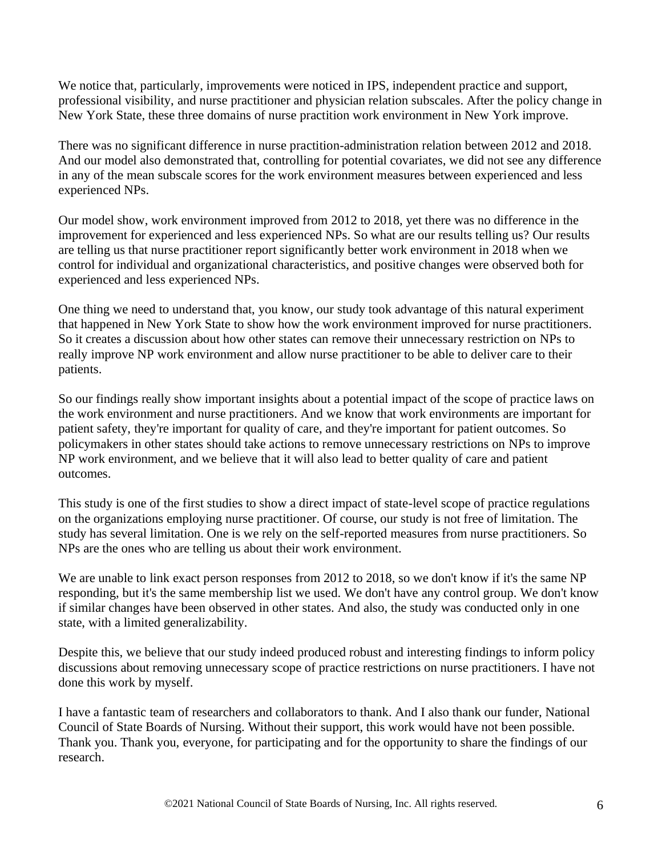We notice that, particularly, improvements were noticed in IPS, independent practice and support, professional visibility, and nurse practitioner and physician relation subscales. After the policy change in New York State, these three domains of nurse practition work environment in New York improve.

There was no significant difference in nurse practition-administration relation between 2012 and 2018. And our model also demonstrated that, controlling for potential covariates, we did not see any difference in any of the mean subscale scores for the work environment measures between experienced and less experienced NPs.

Our model show, work environment improved from 2012 to 2018, yet there was no difference in the improvement for experienced and less experienced NPs. So what are our results telling us? Our results are telling us that nurse practitioner report significantly better work environment in 2018 when we control for individual and organizational characteristics, and positive changes were observed both for experienced and less experienced NPs.

One thing we need to understand that, you know, our study took advantage of this natural experiment that happened in New York State to show how the work environment improved for nurse practitioners. So it creates a discussion about how other states can remove their unnecessary restriction on NPs to really improve NP work environment and allow nurse practitioner to be able to deliver care to their patients.

So our findings really show important insights about a potential impact of the scope of practice laws on the work environment and nurse practitioners. And we know that work environments are important for patient safety, they're important for quality of care, and they're important for patient outcomes. So policymakers in other states should take actions to remove unnecessary restrictions on NPs to improve NP work environment, and we believe that it will also lead to better quality of care and patient outcomes.

This study is one of the first studies to show a direct impact of state-level scope of practice regulations on the organizations employing nurse practitioner. Of course, our study is not free of limitation. The study has several limitation. One is we rely on the self-reported measures from nurse practitioners. So NPs are the ones who are telling us about their work environment.

We are unable to link exact person responses from 2012 to 2018, so we don't know if it's the same NP responding, but it's the same membership list we used. We don't have any control group. We don't know if similar changes have been observed in other states. And also, the study was conducted only in one state, with a limited generalizability.

Despite this, we believe that our study indeed produced robust and interesting findings to inform policy discussions about removing unnecessary scope of practice restrictions on nurse practitioners. I have not done this work by myself.

I have a fantastic team of researchers and collaborators to thank. And I also thank our funder, National Council of State Boards of Nursing. Without their support, this work would have not been possible. Thank you. Thank you, everyone, for participating and for the opportunity to share the findings of our research.